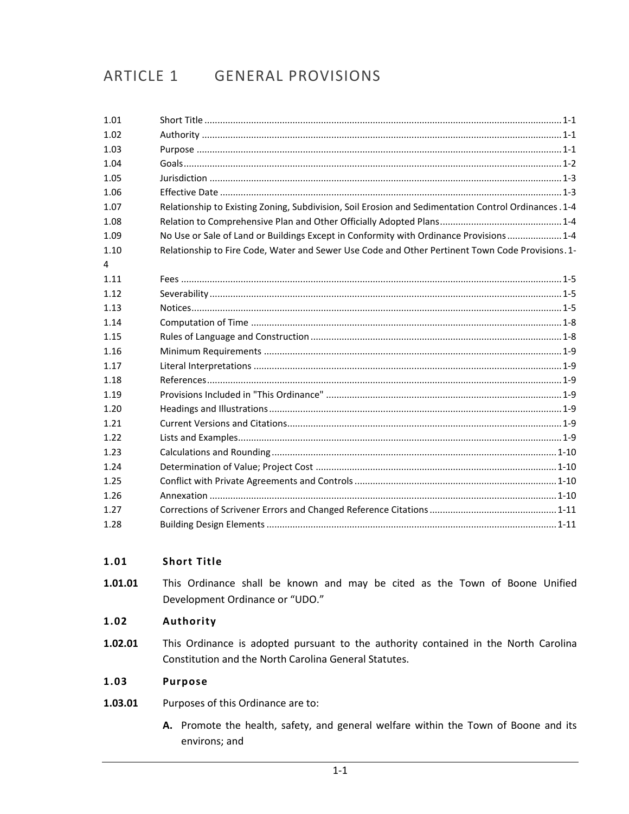# ARTICLE 1 GENERAL PROVISIONS

| 1.01 |                                                                                                      |  |
|------|------------------------------------------------------------------------------------------------------|--|
| 1.02 |                                                                                                      |  |
| 1.03 |                                                                                                      |  |
| 1.04 |                                                                                                      |  |
| 1.05 |                                                                                                      |  |
| 1.06 |                                                                                                      |  |
| 1.07 | Relationship to Existing Zoning, Subdivision, Soil Erosion and Sedimentation Control Ordinances .1-4 |  |
| 1.08 |                                                                                                      |  |
| 1.09 | No Use or Sale of Land or Buildings Except in Conformity with Ordinance Provisions  1-4              |  |
| 1.10 | Relationship to Fire Code, Water and Sewer Use Code and Other Pertinent Town Code Provisions. 1-     |  |
| 4    |                                                                                                      |  |
| 1.11 |                                                                                                      |  |
| 1.12 |                                                                                                      |  |
| 1.13 |                                                                                                      |  |
| 1.14 |                                                                                                      |  |
| 1.15 |                                                                                                      |  |
| 1.16 |                                                                                                      |  |
| 1.17 |                                                                                                      |  |
| 1.18 |                                                                                                      |  |
| 1.19 |                                                                                                      |  |
| 1.20 |                                                                                                      |  |
| 1.21 |                                                                                                      |  |
| 1.22 |                                                                                                      |  |
| 1.23 |                                                                                                      |  |
| 1.24 |                                                                                                      |  |
| 1.25 |                                                                                                      |  |
| 1.26 |                                                                                                      |  |
| 1.27 |                                                                                                      |  |
| 1.28 |                                                                                                      |  |
|      |                                                                                                      |  |

#### <span id="page-0-0"></span> $1.01$ **Short Title**

1.01.01 This Ordinance shall be known and may be cited as the Town of Boone Unified Development Ordinance or "UDO."

#### <span id="page-0-1"></span>1.02 Authority

This Ordinance is adopted pursuant to the authority contained in the North Carolina 1.02.01 Constitution and the North Carolina General Statutes.

#### <span id="page-0-2"></span>1.03 **Purpose**

- 1.03.01 Purposes of this Ordinance are to:
	- A. Promote the health, safety, and general welfare within the Town of Boone and its environs; and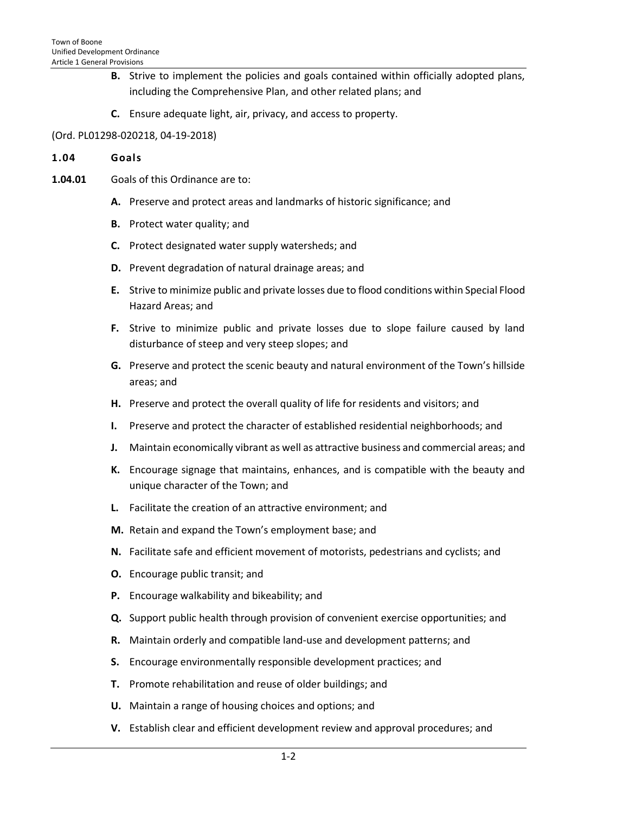- **B.** Strive to implement the policies and goals contained within officially adopted plans, including the Comprehensive Plan, and other related plans; and
- **C.** Ensure adequate light, air, privacy, and access to property.

# (Ord. PL01298-020218, 04-19-2018)

#### <span id="page-1-0"></span>**1.04 Goals**

- **1.04.01** Goals of this Ordinance are to:
	- **A.** Preserve and protect areas and landmarks of historic significance; and
	- **B.** Protect water quality; and
	- **C.** Protect designated water supply watersheds; and
	- **D.** Prevent degradation of natural drainage areas; and
	- **E.** Strive to minimize public and private losses due to flood conditions within Special Flood Hazard Areas; and
	- **F.** Strive to minimize public and private losses due to slope failure caused by land disturbance of steep and very steep slopes; and
	- **G.** Preserve and protect the scenic beauty and natural environment of the Town's hillside areas; and
	- **H.** Preserve and protect the overall quality of life for residents and visitors; and
	- **I.** Preserve and protect the character of established residential neighborhoods; and
	- **J.** Maintain economically vibrant as well as attractive business and commercial areas; and
	- **K.** Encourage signage that maintains, enhances, and is compatible with the beauty and unique character of the Town; and
	- **L.** Facilitate the creation of an attractive environment; and
	- **M.** Retain and expand the Town's employment base; and
	- **N.** Facilitate safe and efficient movement of motorists, pedestrians and cyclists; and
	- **O.** Encourage public transit; and
	- **P.** Encourage walkability and bikeability; and
	- **Q.** Support public health through provision of convenient exercise opportunities; and
	- **R.** Maintain orderly and compatible land-use and development patterns; and
	- **S.** Encourage environmentally responsible development practices; and
	- **T.** Promote rehabilitation and reuse of older buildings; and
	- **U.** Maintain a range of housing choices and options; and
	- **V.** Establish clear and efficient development review and approval procedures; and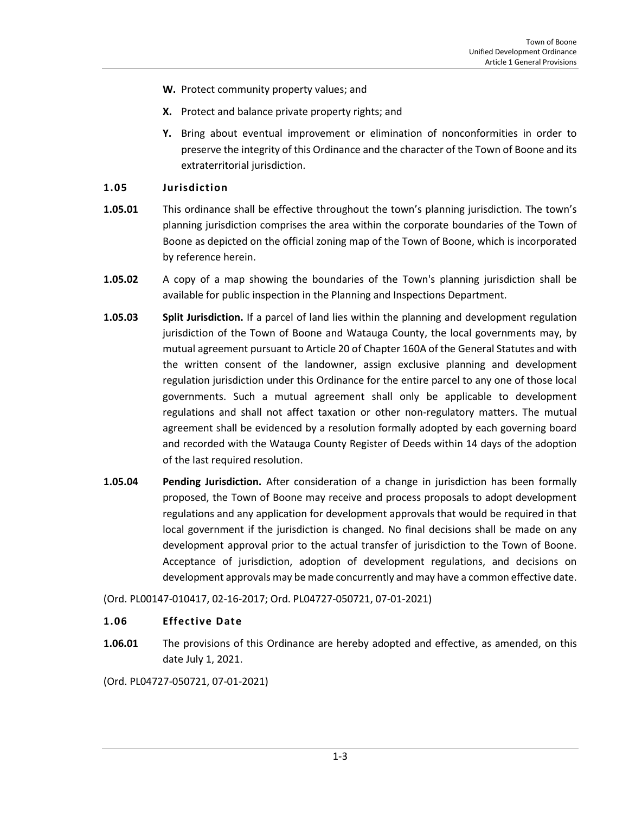- **W.** Protect community property values; and
- **X.** Protect and balance private property rights; and
- **Y.** Bring about eventual improvement or elimination of nonconformities in order to preserve the integrity of this Ordinance and the character of the Town of Boone and its extraterritorial jurisdiction.

# <span id="page-2-0"></span>**1.05 Jurisdiction**

- **1.05.01** This ordinance shall be effective throughout the town's planning jurisdiction. The town's planning jurisdiction comprises the area within the corporate boundaries of the Town of Boone as depicted on the official zoning map of the Town of Boone, which is incorporated by reference herein.
- **1.05.02** A copy of a map showing the boundaries of the Town's planning jurisdiction shall be available for public inspection in the Planning and Inspections Department.
- **1.05.03 Split Jurisdiction.** If a parcel of land lies within the planning and development regulation jurisdiction of the Town of Boone and Watauga County, the local governments may, by mutual agreement pursuant to Article 20 of Chapter 160A of the General Statutes and with the written consent of the landowner, assign exclusive planning and development regulation jurisdiction under this Ordinance for the entire parcel to any one of those local governments. Such a mutual agreement shall only be applicable to development regulations and shall not affect taxation or other non-regulatory matters. The mutual agreement shall be evidenced by a resolution formally adopted by each governing board and recorded with the Watauga County Register of Deeds within 14 days of the adoption of the last required resolution.
- **1.05.04 Pending Jurisdiction.** After consideration of a change in jurisdiction has been formally proposed, the Town of Boone may receive and process proposals to adopt development regulations and any application for development approvals that would be required in that local government if the jurisdiction is changed. No final decisions shall be made on any development approval prior to the actual transfer of jurisdiction to the Town of Boone. Acceptance of jurisdiction, adoption of development regulations, and decisions on development approvals may be made concurrently and may have a common effective date.

(Ord. PL00147-010417, 02-16-2017; Ord. PL04727-050721, 07-01-2021)

# <span id="page-2-1"></span>**1.06 Effective Date**

**1.06.01** The provisions of this Ordinance are hereby adopted and effective, as amended, on this date July 1, 2021.

(Ord. PL04727-050721, 07-01-2021)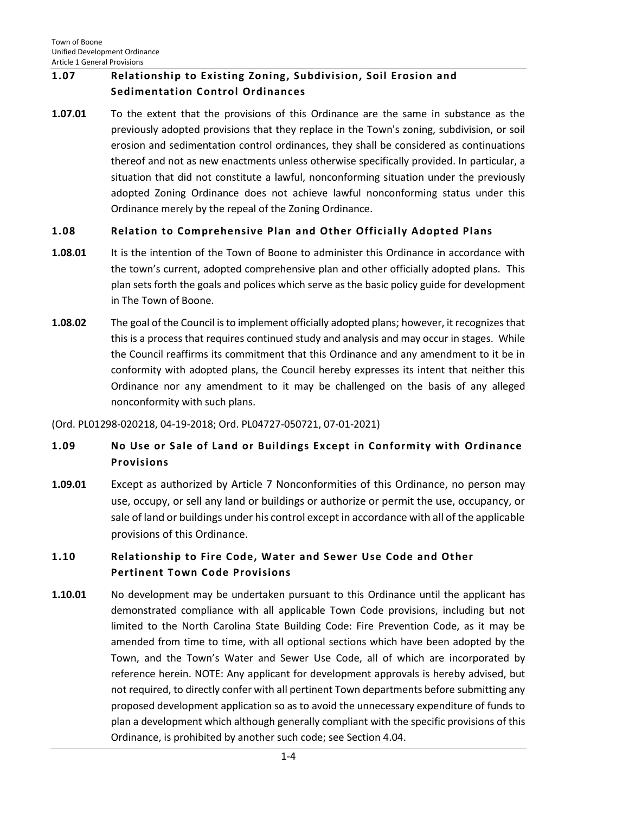# <span id="page-3-0"></span>**1.07 Relationship to Existing Zoning, Subdivision, Soil Erosion and Sedimentation Control Ordinances**

**1.07.01** To the extent that the provisions of this Ordinance are the same in substance as the previously adopted provisions that they replace in the Town's zoning, subdivision, or soil erosion and sedimentation control ordinances, they shall be considered as continuations thereof and not as new enactments unless otherwise specifically provided. In particular, a situation that did not constitute a lawful, nonconforming situation under the previously adopted Zoning Ordinance does not achieve lawful nonconforming status under this Ordinance merely by the repeal of the Zoning Ordinance.

# <span id="page-3-1"></span>**1.08 Relation to Comprehensive Plan and Other Officially Adopted Plans**

- **1.08.01** It is the intention of the Town of Boone to administer this Ordinance in accordance with the town's current, adopted comprehensive plan and other officially adopted plans. This plan sets forth the goals and polices which serve as the basic policy guide for development in The Town of Boone.
- **1.08.02** The goal of the Council is to implement officially adopted plans; however, it recognizes that this is a process that requires continued study and analysis and may occur in stages. While the Council reaffirms its commitment that this Ordinance and any amendment to it be in conformity with adopted plans, the Council hereby expresses its intent that neither this Ordinance nor any amendment to it may be challenged on the basis of any alleged nonconformity with such plans.

# (Ord. PL01298-020218, 04-19-2018; Ord. PL04727-050721, 07-01-2021)

# <span id="page-3-2"></span>**1.09 No Use or Sale of Land or Buildings Except in Conformity with Ordinance Provisions**

**1.09.01** Except as authorized by Article 7 Nonconformities of this Ordinance, no person may use, occupy, or sell any land or buildings or authorize or permit the use, occupancy, or sale of land or buildings under his control except in accordance with all of the applicable provisions of this Ordinance.

# <span id="page-3-3"></span>**1.10 Relationship to Fire Code, Water and Sewer Use Code and Other Pertinent Town Code Provisions**

**1.10.01** No development may be undertaken pursuant to this Ordinance until the applicant has demonstrated compliance with all applicable Town Code provisions, including but not limited to the North Carolina State Building Code: Fire Prevention Code, as it may be amended from time to time, with all optional sections which have been adopted by the Town, and the Town's Water and Sewer Use Code, all of which are incorporated by reference herein. NOTE: Any applicant for development approvals is hereby advised, but not required, to directly confer with all pertinent Town departments before submitting any proposed development application so as to avoid the unnecessary expenditure of funds to plan a development which although generally compliant with the specific provisions of this Ordinance, is prohibited by another such code; see Section 4.04.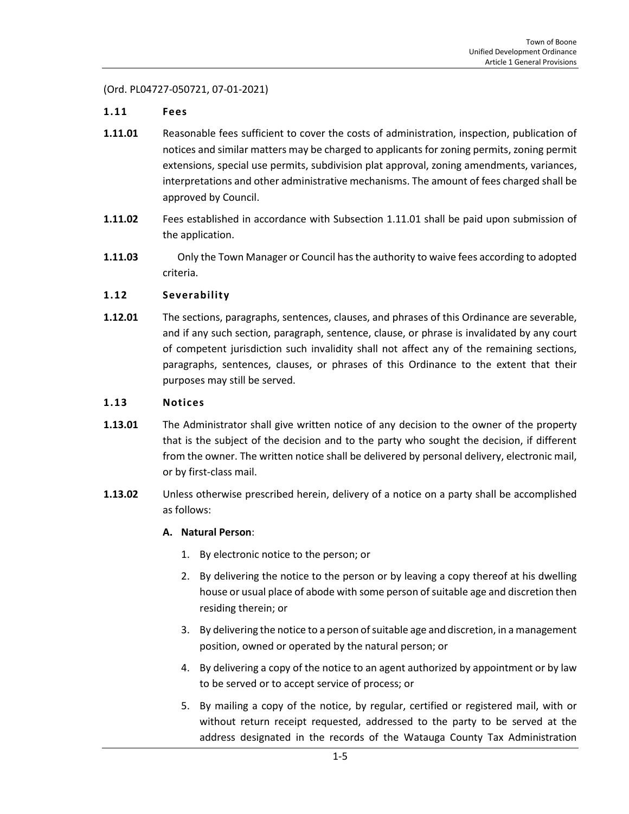(Ord. PL04727-050721, 07-01-2021)

# <span id="page-4-0"></span>**1.11 Fees**

- **1.11.01** Reasonable fees sufficient to cover the costs of administration, inspection, publication of notices and similar matters may be charged to applicants for zoning permits, zoning permit extensions, special use permits, subdivision plat approval, zoning amendments, variances, interpretations and other administrative mechanisms. The amount of fees charged shall be approved by Council.
- **1.11.02** Fees established in accordance with Subsection 1.11.01 shall be paid upon submission of the application.
- <span id="page-4-1"></span>**1.11.03** Only the Town Manager or Council has the authority to waive fees according to adopted criteria.

# **1.12 Severability**

**1.12.01** The sections, paragraphs, sentences, clauses, and phrases of this Ordinance are severable, and if any such section, paragraph, sentence, clause, or phrase is invalidated by any court of competent jurisdiction such invalidity shall not affect any of the remaining sections, paragraphs, sentences, clauses, or phrases of this Ordinance to the extent that their purposes may still be served.

#### <span id="page-4-2"></span>**1.13 Notices**

- **1.13.01** The Administrator shall give written notice of any decision to the owner of the property that is the subject of the decision and to the party who sought the decision, if different from the owner. The written notice shall be delivered by personal delivery, electronic mail, or by first-class mail.
- **1.13.02** Unless otherwise prescribed herein, delivery of a notice on a party shall be accomplished as follows:

### **A. Natural Person**:

- 1. By electronic notice to the person; or
- 2. By delivering the notice to the person or by leaving a copy thereof at his dwelling house or usual place of abode with some person of suitable age and discretion then residing therein; or
- 3. By delivering the notice to a person of suitable age and discretion, in a management position, owned or operated by the natural person; or
- 4. By delivering a copy of the notice to an agent authorized by appointment or by law to be served or to accept service of process; or
- 5. By mailing a copy of the notice, by regular, certified or registered mail, with or without return receipt requested, addressed to the party to be served at the address designated in the records of the Watauga County Tax Administration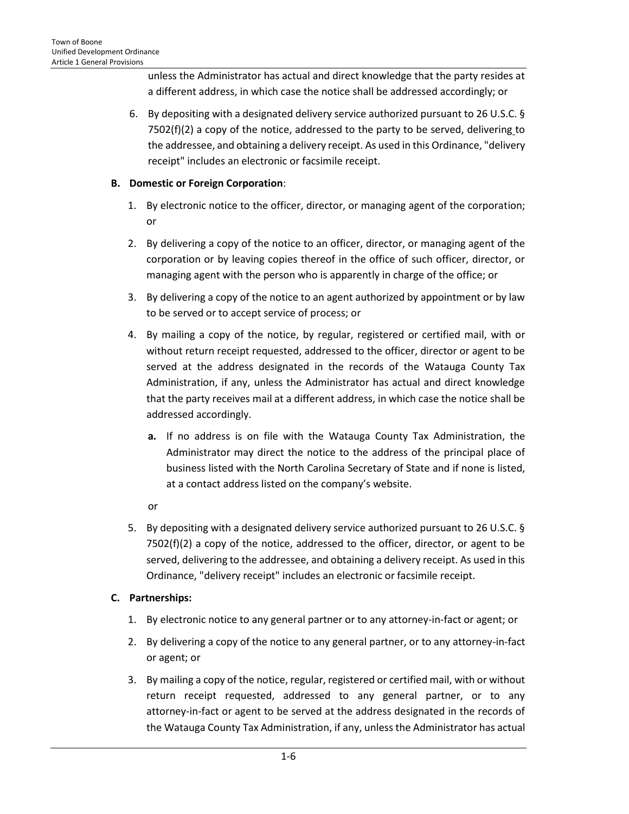unless the Administrator has actual and direct knowledge that the party resides at a different address, in which case the notice shall be addressed accordingly; or

6. By depositing with a designated delivery service authorized pursuant to 26 U.S.C. §  $7502(f)(2)$  a copy of the notice, addressed to the party to be served, delivering to the addressee, and obtaining a delivery receipt. As used in this Ordinance, "delivery receipt" includes an electronic or facsimile receipt.

# **B. Domestic or Foreign Corporation**:

- 1. By electronic notice to the officer, director, or managing agent of the corporation; or
- 2. By delivering a copy of the notice to an officer, director, or managing agent of the corporation or by leaving copies thereof in the office of such officer, director, or managing agent with the person who is apparently in charge of the office; or
- 3. By delivering a copy of the notice to an agent authorized by appointment or by law to be served or to accept service of process; or
- 4. By mailing a copy of the notice, by regular, registered or certified mail, with or without return receipt requested, addressed to the officer, director or agent to be served at the address designated in the records of the Watauga County Tax Administration, if any, unless the Administrator has actual and direct knowledge that the party receives mail at a different address, in which case the notice shall be addressed accordingly.
	- **a.** If no address is on file with the Watauga County Tax Administration, the Administrator may direct the notice to the address of the principal place of business listed with the North Carolina Secretary of State and if none is listed, at a contact address listed on the company's website.
	- or
- 5. By depositing with a designated delivery service authorized pursuant to 26 U.S.C. § 7502(f)(2) a copy of the notice, addressed to the officer, director, or agent to be served, delivering to the addressee, and obtaining a delivery receipt. As used in this Ordinance, "delivery receipt" includes an electronic or facsimile receipt.

# **C. Partnerships:**

- 1. By electronic notice to any general partner or to any attorney-in-fact or agent; or
- 2. By delivering a copy of the notice to any general partner, or to any attorney-in-fact or agent; or
- 3. By mailing a copy of the notice, regular, registered or certified mail, with or without return receipt requested, addressed to any general partner, or to any attorney-in-fact or agent to be served at the address designated in the records of the Watauga County Tax Administration, if any, unless the Administrator has actual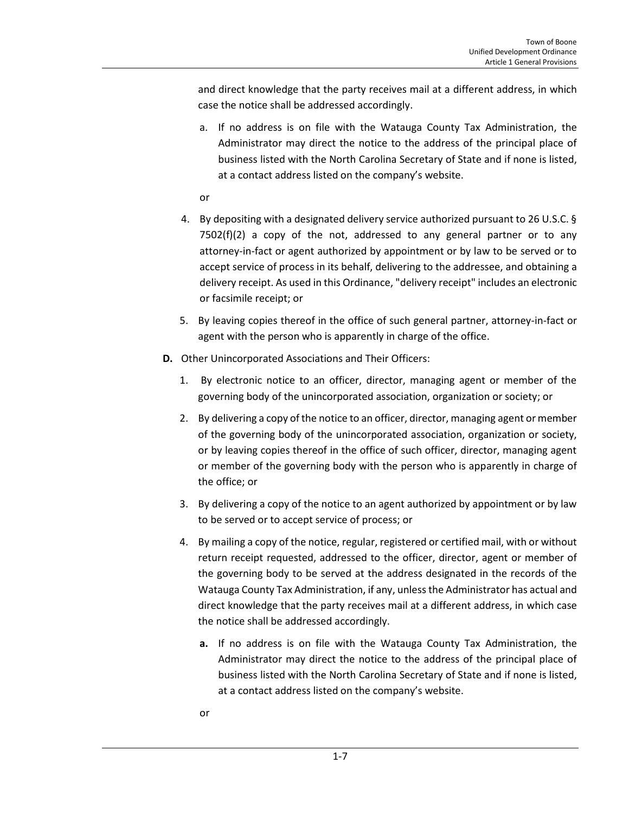and direct knowledge that the party receives mail at a different address, in which case the notice shall be addressed accordingly.

a. If no address is on file with the Watauga County Tax Administration, the Administrator may direct the notice to the address of the principal place of business listed with the North Carolina Secretary of State and if none is listed, at a contact address listed on the company's website.

or

- 4. By depositing with a designated delivery service authorized pursuant to 26 U.S.C. §  $7502(f)(2)$  a copy of the not, addressed to any general partner or to any attorney-in-fact or agent authorized by appointment or by law to be served or to accept service of process in its behalf, delivering to the addressee, and obtaining a delivery receipt. As used in this Ordinance, "delivery receipt" includes an electronic or facsimile receipt; or
- 5. By leaving copies thereof in the office of such general partner, attorney-in-fact or agent with the person who is apparently in charge of the office.
- **D.** Other Unincorporated Associations and Their Officers:
	- 1. By electronic notice to an officer, director, managing agent or member of the governing body of the unincorporated association, organization or society; or
	- 2. By delivering a copy of the notice to an officer, director, managing agent or member of the governing body of the unincorporated association, organization or society, or by leaving copies thereof in the office of such officer, director, managing agent or member of the governing body with the person who is apparently in charge of the office; or
	- 3. By delivering a copy of the notice to an agent authorized by appointment or by law to be served or to accept service of process; or
	- 4. By mailing a copy of the notice, regular, registered or certified mail, with or without return receipt requested, addressed to the officer, director, agent or member of the governing body to be served at the address designated in the records of the Watauga County Tax Administration, if any, unless the Administrator has actual and direct knowledge that the party receives mail at a different address, in which case the notice shall be addressed accordingly.
		- **a.** If no address is on file with the Watauga County Tax Administration, the Administrator may direct the notice to the address of the principal place of business listed with the North Carolina Secretary of State and if none is listed, at a contact address listed on the company's website.
		- or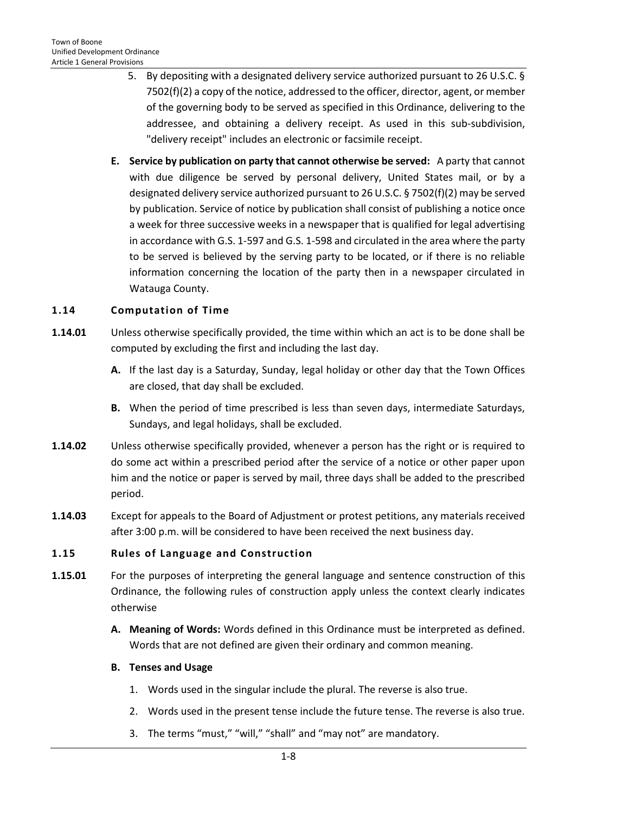- 5. By depositing with a designated delivery service authorized pursuant to 26 U.S.C. § 7502(f)(2) a copy of the notice, addressed to the officer, director, agent, or member of the governing body to be served as specified in this Ordinance, delivering to the addressee, and obtaining a delivery receipt. As used in this sub-subdivision, "delivery receipt" includes an electronic or facsimile receipt.
- **E. Service by publication on party that cannot otherwise be served:** A party that cannot with due diligence be served by personal delivery, United States mail, or by a designated delivery service authorized pursuant to 26 U.S.C. § 7502(f)(2) may be served by publication. Service of notice by publication shall consist of publishing a notice once a week for three successive weeks in a newspaper that is qualified for legal advertising in accordance with G.S. 1-597 and G.S. 1-598 and circulated in the area where the party to be served is believed by the serving party to be located, or if there is no reliable information concerning the location of the party then in a newspaper circulated in Watauga County.

# <span id="page-7-0"></span>**1.14 Computation of Time**

- **1.14.01** Unless otherwise specifically provided, the time within which an act is to be done shall be computed by excluding the first and including the last day.
	- **A.** If the last day is a Saturday, Sunday, legal holiday or other day that the Town Offices are closed, that day shall be excluded.
	- **B.** When the period of time prescribed is less than seven days, intermediate Saturdays, Sundays, and legal holidays, shall be excluded.
- **1.14.02** Unless otherwise specifically provided, whenever a person has the right or is required to do some act within a prescribed period after the service of a notice or other paper upon him and the notice or paper is served by mail, three days shall be added to the prescribed period.
- **1.14.03** Except for appeals to the Board of Adjustment or protest petitions, any materials received after 3:00 p.m. will be considered to have been received the next business day.

### <span id="page-7-1"></span>**1.15 Rules of Language and Construction**

- **1.15.01** For the purposes of interpreting the general language and sentence construction of this Ordinance, the following rules of construction apply unless the context clearly indicates otherwise
	- **A. Meaning of Words:** Words defined in this Ordinance must be interpreted as defined. Words that are not defined are given their ordinary and common meaning.

### **B. Tenses and Usage**

- 1. Words used in the singular include the plural. The reverse is also true.
- 2. Words used in the present tense include the future tense. The reverse is also true.
- 3. The terms "must," "will," "shall" and "may not" are mandatory.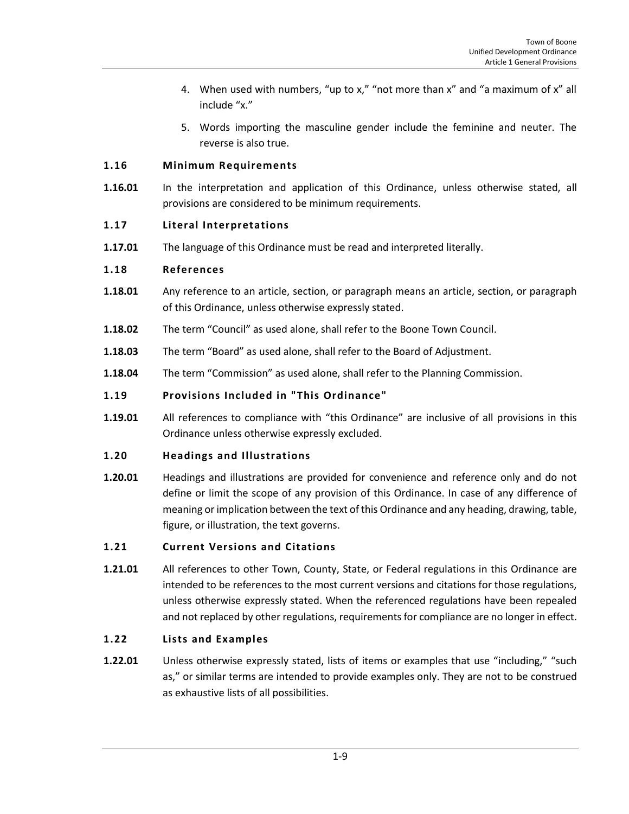- 4. When used with numbers, "up to x," "not more than x" and "a maximum of x" all include "x."
- 5. Words importing the masculine gender include the feminine and neuter. The reverse is also true.

# <span id="page-8-0"></span>**1.16 Minimum Requirements**

**1.16.01** In the interpretation and application of this Ordinance, unless otherwise stated, all provisions are considered to be minimum requirements.

# <span id="page-8-1"></span>**1.17 Literal Interpretations**

**1.17.01** The language of this Ordinance must be read and interpreted literally.

# <span id="page-8-2"></span>**1.18 References**

- **1.18.01** Any reference to an article, section, or paragraph means an article, section, or paragraph of this Ordinance, unless otherwise expressly stated.
- **1.18.02** The term "Council" as used alone, shall refer to the Boone Town Council.
- **1.18.03** The term "Board" as used alone, shall refer to the Board of Adjustment.
- **1.18.04** The term "Commission" as used alone, shall refer to the Planning Commission.

# <span id="page-8-3"></span>**1.19 Provisions Included in "This Ordinance"**

**1.19.01** All references to compliance with "this Ordinance" are inclusive of all provisions in this Ordinance unless otherwise expressly excluded.

### <span id="page-8-4"></span>**1.20 Headings and Illustrations**

**1.20.01** Headings and illustrations are provided for convenience and reference only and do not define or limit the scope of any provision of this Ordinance. In case of any difference of meaning or implication between the text of this Ordinance and any heading, drawing, table, figure, or illustration, the text governs.

### <span id="page-8-5"></span>**1.21 Current Versions and Citations**

**1.21.01** All references to other Town, County, State, or Federal regulations in this Ordinance are intended to be references to the most current versions and citations for those regulations, unless otherwise expressly stated. When the referenced regulations have been repealed and not replaced by other regulations, requirements for compliance are no longer in effect.

# <span id="page-8-6"></span>**1.22 Lists and Examples**

**1.22.01** Unless otherwise expressly stated, lists of items or examples that use "including," "such as," or similar terms are intended to provide examples only. They are not to be construed as exhaustive lists of all possibilities.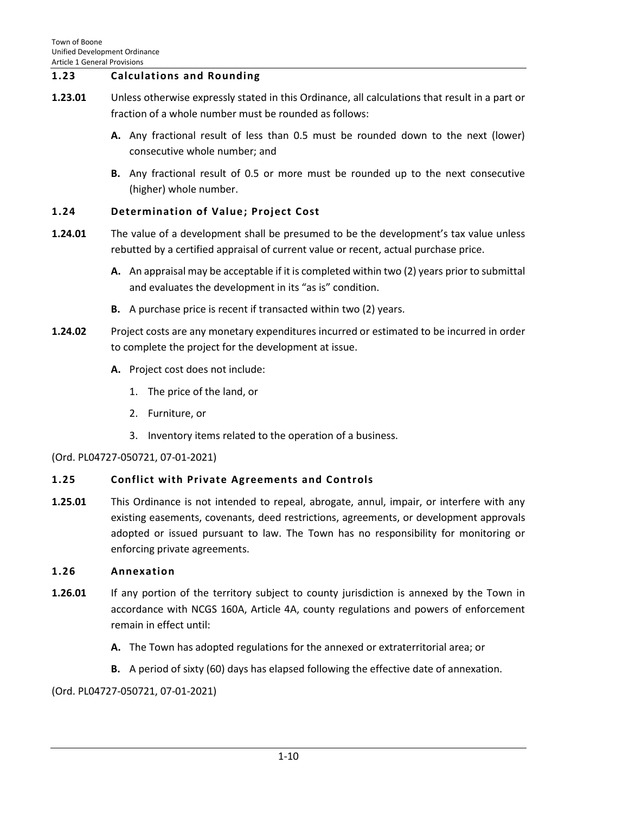# <span id="page-9-0"></span>**1.23 Calculations and Rounding**

- **1.23.01** Unless otherwise expressly stated in this Ordinance, all calculations that result in a part or fraction of a whole number must be rounded as follows:
	- **A.** Any fractional result of less than 0.5 must be rounded down to the next (lower) consecutive whole number; and
	- **B.** Any fractional result of 0.5 or more must be rounded up to the next consecutive (higher) whole number.

# <span id="page-9-1"></span>**1.24 Determination of Value; Project Cost**

- **1.24.01** The value of a development shall be presumed to be the development's tax value unless rebutted by a certified appraisal of current value or recent, actual purchase price.
	- **A.** An appraisal may be acceptable if it is completed within two (2) years prior to submittal and evaluates the development in its "as is" condition.
	- **B.** A purchase price is recent if transacted within two (2) years.
- **1.24.02** Project costs are any monetary expenditures incurred or estimated to be incurred in order to complete the project for the development at issue.
	- **A.** Project cost does not include:
		- 1. The price of the land, or
		- 2. Furniture, or
		- 3. Inventory items related to the operation of a business.

### (Ord. PL04727-050721, 07-01-2021)

# <span id="page-9-2"></span>**1.25 Conflict with Private Agreements and Controls**

**1.25.01** This Ordinance is not intended to repeal, abrogate, annul, impair, or interfere with any existing easements, covenants, deed restrictions, agreements, or development approvals adopted or issued pursuant to law. The Town has no responsibility for monitoring or enforcing private agreements.

# <span id="page-9-3"></span>**1.26 Annexation**

- **1.26.01** If any portion of the territory subject to county jurisdiction is annexed by the Town in accordance with NCGS 160A, Article 4A, county regulations and powers of enforcement remain in effect until:
	- **A.** The Town has adopted regulations for the annexed or extraterritorial area; or
	- **B.** A period of sixty (60) days has elapsed following the effective date of annexation.

(Ord. PL04727-050721, 07-01-2021)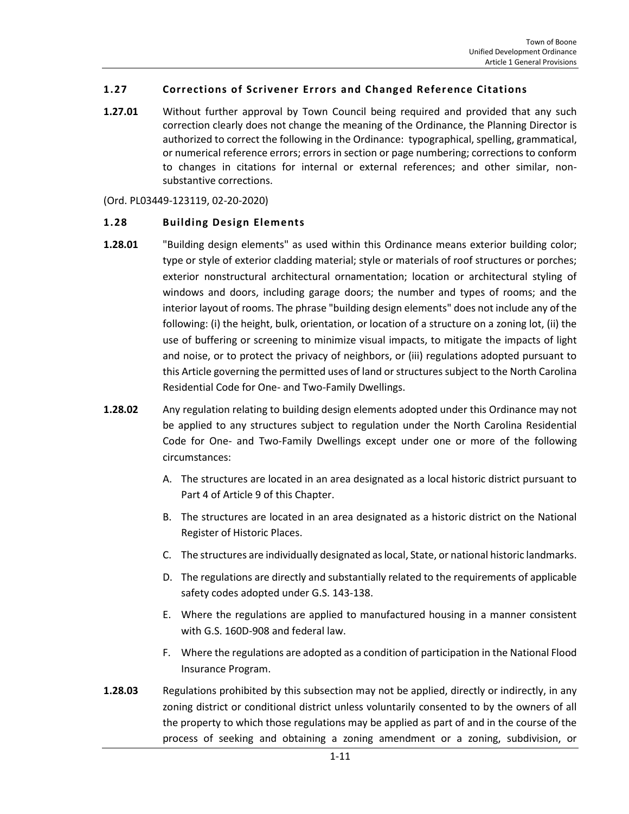# <span id="page-10-0"></span>**1.27 Corrections of Scrivener Errors and Changed Reference Citations**

**1.27.01** Without further approval by Town Council being required and provided that any such correction clearly does not change the meaning of the Ordinance, the Planning Director is authorized to correct the following in the Ordinance: typographical, spelling, grammatical, or numerical reference errors; errors in section or page numbering; corrections to conform to changes in citations for internal or external references; and other similar, nonsubstantive corrections.

(Ord. PL03449-123119, 02-20-2020)

### <span id="page-10-1"></span>**1.28 Building Design Elements**

- **1.28.01** "Building design elements" as used within this Ordinance means exterior building color; type or style of exterior cladding material; style or materials of roof structures or porches; exterior nonstructural architectural ornamentation; location or architectural styling of windows and doors, including garage doors; the number and types of rooms; and the interior layout of rooms. The phrase "building design elements" does not include any of the following: (i) the height, bulk, orientation, or location of a structure on a zoning lot, (ii) the use of buffering or screening to minimize visual impacts, to mitigate the impacts of light and noise, or to protect the privacy of neighbors, or (iii) regulations adopted pursuant to this Article governing the permitted uses of land or structures subject to the North Carolina Residential Code for One- and Two-Family Dwellings.
- **1.28.02** Any regulation relating to building design elements adopted under this Ordinance may not be applied to any structures subject to regulation under the North Carolina Residential Code for One- and Two-Family Dwellings except under one or more of the following circumstances:
	- A. The structures are located in an area designated as a local historic district pursuant to Part 4 of Article 9 of this Chapter.
	- B. The structures are located in an area designated as a historic district on the National Register of Historic Places.
	- C. The structures are individually designated as local, State, or national historic landmarks.
	- D. The regulations are directly and substantially related to the requirements of applicable safety codes adopted under G.S. 143-138.
	- E. Where the regulations are applied to manufactured housing in a manner consistent with G.S. 160D-908 and federal law.
	- F. Where the regulations are adopted as a condition of participation in the National Flood Insurance Program.
- **1.28.03** Regulations prohibited by this subsection may not be applied, directly or indirectly, in any zoning district or conditional district unless voluntarily consented to by the owners of all the property to which those regulations may be applied as part of and in the course of the process of seeking and obtaining a zoning amendment or a zoning, subdivision, or